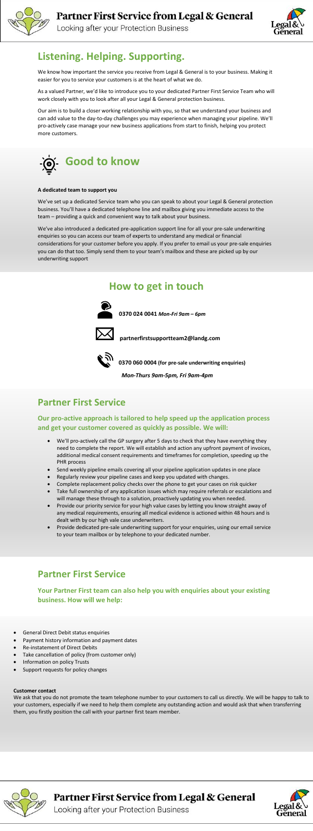

Looking after your Protection Business



#### **Customer contact**

We ask that you do not promote the team telephone number to your customers to call us directly. We will be happy to talk to your customers, especially if we need to help them complete any outstanding action and would ask that when transferring them, you firstly position the call with your partner first team member.



Partner First Service from Legal & General



Looking after your Protection Business

## **Listening. Helping. Supporting.**

We know how important the service you receive from Legal & General is to your business. Making it easier for you to service your customers is at the heart of what we do.

As a valued Partner, we'd like to introduce you to your dedicated Partner First Service Team who will work closely with you to look after all your Legal & General protection business.

Our aim is to build a closer working relationship with you, so that we understand your business and can add value to the day-to-day challenges you may experience when managing your pipeline. We'll pro-actively case manage your new business applications from start to finish, helping you protect more customers.



#### **A dedicated team to support you**

We've set up a dedicated Service team who you can speak to about your Legal & General protection business. You'll have a dedicated telephone line and mailbox giving you immediate access to the team – providing a quick and convenient way to talk about your business.

We've also introduced a dedicated pre-application support line for all your pre-sale underwriting enquiries so you can access our team of experts to understand any medical or financial considerations for your customer before you apply. If you prefer to email us your pre-sale enquiries you can do that too. Simply send them to your team's mailbox and these are picked up by our underwriting support

### **How to get in touch**



 **0370 024 0041** *Mon-Fri 9am – 6pm*



 **partnerfirstsupportteam2@landg.com**



**0370 060 0004 (for pre-sale underwriting enquiries)** 

*Mon-Thurs 9am-5pm, Fri 9am-4pm* 

#### **Partner First Service**

**Our pro-active approach is tailored to help speed up the application process and get your customer covered as quickly as possible. We will:**

- We'll pro-actively call the GP surgery after 5 days to check that they have everything they need to complete the report. We will establish and action any upfront payment of invoices, additional medical consent requirements and timeframes for completion, speeding up the PHR process
- Send weekly pipeline emails covering all your pipeline application updates in one place
- 
- Regularly review your pipeline cases and keep you updated with changes.
- Complete replacement policy checks over the phone to get your cases on risk quicker
- Take full ownership of any application issues which may require referrals or escalations and will manage these through to a solution, proactively updating you when needed.
- Provide our priority service for your high value cases by letting you know straight away of any medical requirements, ensuring all medical evidence is actioned within 48 hours and is dealt with by our high vale case underwriters.
- Provide dedicated pre-sale underwriting support for your enquiries, using our email service to your team mailbox or by telephone to your dedicated number.

### **Partner First Service**

**Your Partner First team can also help you with enquiries about your existing business. How will we help:**

- General Direct Debit status enquiries
- Payment history information and payment dates
- Re-instatement of Direct Debits
- Take cancellation of policy (from customer only)
- Information on policy Trusts
- Support requests for policy changes